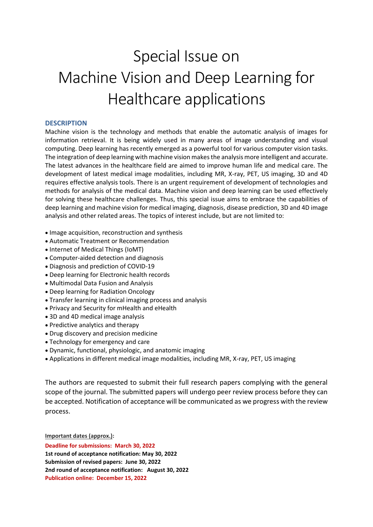## Special Issue on Machine Vision and Deep Learning for Healthcare applications

## **DESCRIPTION**

Machine vision is the technology and methods that enable the automatic analysis of images for information retrieval. It is being widely used in many areas of image understanding and visual computing. Deep learning has recently emerged as a powerful tool for various computer vision tasks. The integration of deep learning with machine vision makes the analysis more intelligent and accurate. The latest advances in the healthcare field are aimed to improve human life and medical care. The development of latest medical image modalities, including MR, X-ray, PET, US imaging, 3D and 4D requires effective analysis tools. There is an urgent requirement of development of technologies and methods for analysis of the medical data. Machine vision and deep learning can be used effectively for solving these healthcare challenges. Thus, this special issue aims to embrace the capabilities of deep learning and machine vision for medical imaging, diagnosis, disease prediction, 3D and 4D image analysis and other related areas. The topics of interest include, but are not limited to:

- Image acquisition, reconstruction and synthesis
- Automatic Treatment or Recommendation
- Internet of Medical Things (IoMT)
- Computer-aided detection and diagnosis
- Diagnosis and prediction of COVID-19
- Deep learning for Electronic health records
- Multimodal Data Fusion and Analysis
- Deep learning for Radiation Oncology
- Transfer learning in clinical imaging process and analysis
- Privacy and Security for mHealth and eHealth
- 3D and 4D medical image analysis
- Predictive analytics and therapy
- Drug discovery and precision medicine
- Technology for emergency and care
- Dynamic, functional, physiologic, and anatomic imaging
- Applications in different medical image modalities, including MR, X-ray, PET, US imaging

The authors are requested to submit their full research papers complying with the general scope of the journal. The submitted papers will undergo peer review process before they can be accepted. Notification of acceptance will be communicated as we progress with the review process.

**Important dates (approx.):**

**Deadline for submissions: March 30, 2022 1st round of acceptance notification: May 30, 2022 Submission of revised papers: June 30, 2022 2nd round of acceptance notification: August 30, 2022 Publication online: December 15, 2022**